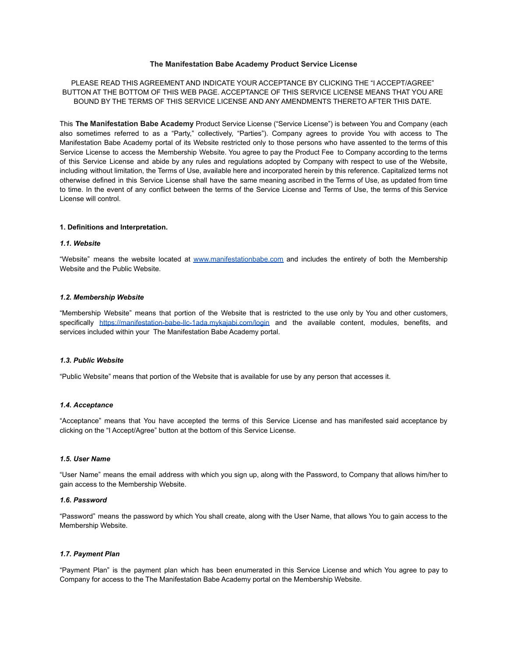## **The Manifestation Babe Academy Product Service License**

PLEASE READ THIS AGREEMENT AND INDICATE YOUR ACCEPTANCE BY CLICKING THE "I ACCEPT/AGREE" BUTTON AT THE BOTTOM OF THIS WEB PAGE. ACCEPTANCE OF THIS SERVICE LICENSE MEANS THAT YOU ARE BOUND BY THE TERMS OF THIS SERVICE LICENSE AND ANY AMENDMENTS THERETO AFTER THIS DATE.

This **The Manifestation Babe Academy** Product Service License ("Service License") is between You and Company (each also sometimes referred to as a "Party," collectively, "Parties"). Company agrees to provide You with access to The Manifestation Babe Academy portal of its Website restricted only to those persons who have assented to the terms of this Service License to access the Membership Website. You agree to pay the Product Fee to Company according to the terms of this Service License and abide by any rules and regulations adopted by Company with respect to use of the Website, including without limitation, the Terms of Use, available here and incorporated herein by this reference. Capitalized terms not otherwise defined in this Service License shall have the same meaning ascribed in the Terms of Use, as updated from time to time. In the event of any conflict between the terms of the Service License and Terms of Use, the terms of this Service License will control.

## **1. Definitions and Interpretation.**

## *1.1***.** *Website*

"Website" means the website located at [www.manifestationbabe.com](http://www.manifestationbabe.com) and includes the entirety of both the Membership Website and the Public Website.

#### *1.2***.** *Membership Website*

"Membership Website" means that portion of the Website that is restricted to the use only by You and other customers, specifically <https://manifestation-babe-llc-1ada.mykajabi.com/login> and the available content, modules, benefits, and services included within your The Manifestation Babe Academy portal.

# *1.3***.** *Public Website*

"Public Website" means that portion of the Website that is available for use by any person that accesses it.

# *1.4***.** *Acceptance*

"Acceptance" means that You have accepted the terms of this Service License and has manifested said acceptance by clicking on the "I Accept/Agree" button at the bottom of this Service License.

#### *1.5***.** *User Name*

"User Name" means the email address with which you sign up, along with the Password, to Company that allows him/her to gain access to the Membership Website.

#### *1.6***.** *Password*

"Password" means the password by which You shall create, along with the User Name, that allows You to gain access to the Membership Website.

#### *1.7***.** *Payment Plan*

"Payment Plan" is the payment plan which has been enumerated in this Service License and which You agree to pay to Company for access to the The Manifestation Babe Academy portal on the Membership Website.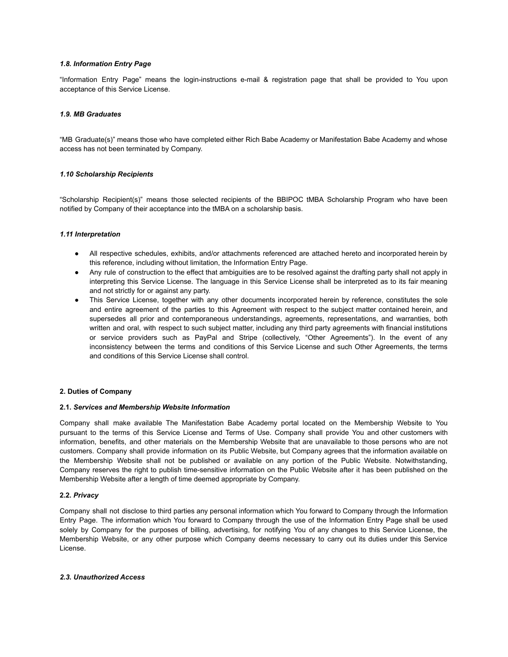# *1.8. Information Entry Page*

"Information Entry Page" means the login-instructions e-mail & registration page that shall be provided to You upon acceptance of this Service License.

## *1.9. MB Graduates*

"MB Graduate(s)" means those who have completed either Rich Babe Academy or Manifestation Babe Academy and whose access has not been terminated by Company.

## *1.10 Scholarship Recipients*

"Scholarship Recipient(s)" means those selected recipients of the BBIPOC tMBA Scholarship Program who have been notified by Company of their acceptance into the tMBA on a scholarship basis.

## *1.11 Interpretation*

- All respective schedules, exhibits, and/or attachments referenced are attached hereto and incorporated herein by this reference, including without limitation, the Information Entry Page.
- Any rule of construction to the effect that ambiguities are to be resolved against the drafting party shall not apply in interpreting this Service License. The language in this Service License shall be interpreted as to its fair meaning and not strictly for or against any party.
- This Service License, together with any other documents incorporated herein by reference, constitutes the sole and entire agreement of the parties to this Agreement with respect to the subject matter contained herein, and supersedes all prior and contemporaneous understandings, agreements, representations, and warranties, both written and oral, with respect to such subject matter, including any third party agreements with financial institutions or service providers such as PayPal and Stripe (collectively, "Other Agreements"). In the event of any inconsistency between the terms and conditions of this Service License and such Other Agreements, the terms and conditions of this Service License shall control.

## **2. Duties of Company**

## **2.1.** *Services and Membership Website Information*

Company shall make available The Manifestation Babe Academy portal located on the Membership Website to You pursuant to the terms of this Service License and Terms of Use. Company shall provide You and other customers with information, benefits, and other materials on the Membership Website that are unavailable to those persons who are not customers. Company shall provide information on its Public Website, but Company agrees that the information available on the Membership Website shall not be published or available on any portion of the Public Website. Notwithstanding, Company reserves the right to publish time-sensitive information on the Public Website after it has been published on the Membership Website after a length of time deemed appropriate by Company.

## **2.2.** *Privacy*

Company shall not disclose to third parties any personal information which You forward to Company through the Information Entry Page. The information which You forward to Company through the use of the Information Entry Page shall be used solely by Company for the purposes of billing, advertising, for notifying You of any changes to this Service License, the Membership Website, or any other purpose which Company deems necessary to carry out its duties under this Service License.

## *2.3***.** *Unauthorized Access*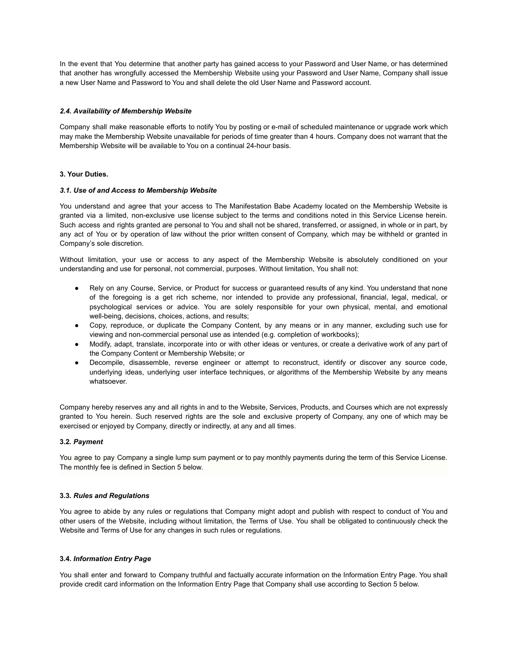In the event that You determine that another party has gained access to your Password and User Name, or has determined that another has wrongfully accessed the Membership Website using your Password and User Name, Company shall issue a new User Name and Password to You and shall delete the old User Name and Password account.

# *2.4***.** *Availability of Membership Website*

Company shall make reasonable efforts to notify You by posting or e-mail of scheduled maintenance or upgrade work which may make the Membership Website unavailable for periods of time greater than 4 hours. Company does not warrant that the Membership Website will be available to You on a continual 24-hour basis.

# **3. Your Duties.**

## *3.1***.** *Use of and Access to Membership Website*

You understand and agree that your access to The Manifestation Babe Academy located on the Membership Website is granted via a limited, non-exclusive use license subject to the terms and conditions noted in this Service License herein. Such access and rights granted are personal to You and shall not be shared, transferred, or assigned, in whole or in part, by any act of You or by operation of law without the prior written consent of Company, which may be withheld or granted in Company's sole discretion.

Without limitation, your use or access to any aspect of the Membership Website is absolutely conditioned on your understanding and use for personal, not commercial, purposes. Without limitation, You shall not:

- Rely on any Course, Service, or Product for success or guaranteed results of any kind. You understand that none of the foregoing is a get rich scheme, nor intended to provide any professional, financial, legal, medical, or psychological services or advice. You are solely responsible for your own physical, mental, and emotional well-being, decisions, choices, actions, and results;
- Copy, reproduce, or duplicate the Company Content, by any means or in any manner, excluding such use for viewing and non-commercial personal use as intended (e.g. completion of workbooks);
- Modify, adapt, translate, incorporate into or with other ideas or ventures, or create a derivative work of any part of the Company Content or Membership Website; or
- Decompile, disassemble, reverse engineer or attempt to reconstruct, identify or discover any source code, underlying ideas, underlying user interface techniques, or algorithms of the Membership Website by any means whatsoever.

Company hereby reserves any and all rights in and to the Website, Services, Products, and Courses which are not expressly granted to You herein. Such reserved rights are the sole and exclusive property of Company, any one of which may be exercised or enjoyed by Company, directly or indirectly, at any and all times.

## **3.2***. Payment*

You agree to pay Company a single lump sum payment or to pay monthly payments during the term of this Service License. The monthly fee is defined in Section 5 below.

## **3.3.** *Rules and Regulations*

You agree to abide by any rules or regulations that Company might adopt and publish with respect to conduct of You and other users of the Website, including without limitation, the Terms of Use. You shall be obligated to continuously check the Website and Terms of Use for any changes in such rules or regulations.

# **3.4.** *Information Entry Page*

You shall enter and forward to Company truthful and factually accurate information on the Information Entry Page. You shall provide credit card information on the Information Entry Page that Company shall use according to Section 5 below.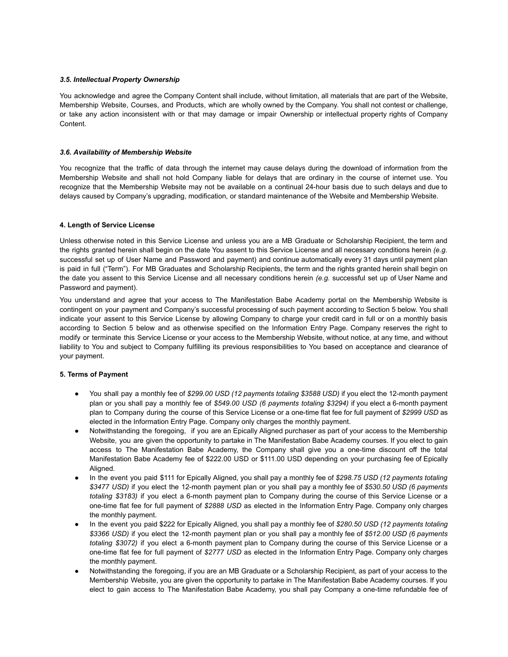# *3.5***.** *Intellectual Property Ownership*

You acknowledge and agree the Company Content shall include, without limitation, all materials that are part of the Website, Membership Website, Courses, and Products, which are wholly owned by the Company. You shall not contest or challenge, or take any action inconsistent with or that may damage or impair Ownership or intellectual property rights of Company Content.

## *3.6***.** *Availability of Membership Website*

You recognize that the traffic of data through the internet may cause delays during the download of information from the Membership Website and shall not hold Company liable for delays that are ordinary in the course of internet use. You recognize that the Membership Website may not be available on a continual 24-hour basis due to such delays and due to delays caused by Company's upgrading, modification, or standard maintenance of the Website and Membership Website.

# **4. Length of Service License**

Unless otherwise noted in this Service License and unless you are a MB Graduate or Scholarship Recipient, the term and the rights granted herein shall begin on the date You assent to this Service License and all necessary conditions herein *(e.g.* successful set up of User Name and Password and payment) and continue automatically every 31 days until payment plan is paid in full ("Term"). For MB Graduates and Scholarship Recipients, the term and the rights granted herein shall begin on the date you assent to this Service License and all necessary conditions herein *(e.g.* successful set up of User Name and Password and payment).

You understand and agree that your access to The Manifestation Babe Academy portal on the Membership Website is contingent on your payment and Company's successful processing of such payment according to Section 5 below. You shall indicate your assent to this Service License by allowing Company to charge your credit card in full or on a monthly basis according to Section 5 below and as otherwise specified on the Information Entry Page. Company reserves the right to modify or terminate this Service License or your access to the Membership Website, without notice, at any time, and without liability to You and subject to Company fulfilling its previous responsibilities to You based on acceptance and clearance of your payment.

# **5. Terms of Payment**

- You shall pay a monthly fee of \$299.00 USD (12 payments totaling \$3588 USD) if you elect the 12-month payment plan or you shall pay a monthly fee of *\$549.00 USD (6 payments totaling \$3294)* if you elect a 6-month payment plan to Company during the course of this Service License or a one-time flat fee for full payment of *\$2999 USD* as elected in the Information Entry Page. Company only charges the monthly payment.
- Notwithstanding the foregoing, if you are an Epically Aligned purchaser as part of your access to the Membership Website, you are given the opportunity to partake in The Manifestation Babe Academy courses. If you elect to gain access to The Manifestation Babe Academy, the Company shall give you a one-time discount off the total Manifestation Babe Academy fee of \$222.00 USD or \$111.00 USD depending on your purchasing fee of Epically Aligned.
- In the event you paid \$111 for Epically Aligned, you shall pay a monthly fee of *\$298.75 USD (12 payments totaling \$3477 USD)* if you elect the 12-month payment plan or you shall pay a monthly fee of *\$530.50 USD (6 payments totaling \$3183)* if you elect a 6-month payment plan to Company during the course of this Service License or a one-time flat fee for full payment of *\$2888 USD* as elected in the Information Entry Page. Company only charges the monthly payment.
- In the event you paid \$222 for Epically Aligned, you shall pay a monthly fee of *\$280.50 USD (12 payments totaling \$3366 USD)* if you elect the 12-month payment plan or you shall pay a monthly fee of *\$512.00 USD (6 payments totaling \$3072)* if you elect a 6-month payment plan to Company during the course of this Service License or a one-time flat fee for full payment of *\$2777 USD* as elected in the Information Entry Page. Company only charges the monthly payment.
- Notwithstanding the foregoing, if you are an MB Graduate or a Scholarship Recipient, as part of your access to the Membership Website, you are given the opportunity to partake in The Manifestation Babe Academy courses. If you elect to gain access to The Manifestation Babe Academy, you shall pay Company a one-time refundable fee of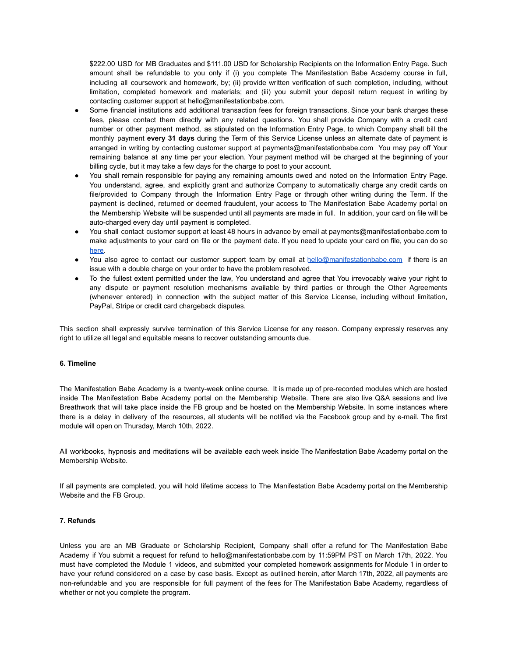\$222.00 USD for MB Graduates and \$111.00 USD for Scholarship Recipients on the Information Entry Page. Such amount shall be refundable to you only if (i) you complete The Manifestation Babe Academy course in full, including all coursework and homework, by; (ii) provide written verification of such completion, including, without limitation, completed homework and materials; and (iii) you submit your deposit return request in writing by contacting customer support at hello@manifestationbabe.com.

- Some financial institutions add additional transaction fees for foreign transactions. Since your bank charges these fees, please contact them directly with any related questions. You shall provide Company with a credit card number or other payment method, as stipulated on the Information Entry Page, to which Company shall bill the monthly payment **every 31 days** during the Term of this Service License unless an alternate date of payment is arranged in writing by contacting customer support at payments@manifestationbabe.com You may pay off Your remaining balance at any time per your election. Your payment method will be charged at the beginning of your billing cycle, but it may take a few days for the charge to post to your account.
- You shall remain responsible for paying any remaining amounts owed and noted on the Information Entry Page. You understand, agree, and explicitly grant and authorize Company to automatically charge any credit cards on file/provided to Company through the Information Entry Page or through other writing during the Term. If the payment is declined, returned or deemed fraudulent, your access to The Manifestation Babe Academy portal on the Membership Website will be suspended until all payments are made in full. In addition, your card on file will be auto-charged every day until payment is completed.
- You shall contact customer support at least 48 hours in advance by email at payments@manifestationbabe.com to make adjustments to your card on file or the payment date. If you need to update your card on file, you can do so [here](http://manifestationbabe.com/updatecard).
- You also agree to contact our customer support team by email at [hello@manifestationbabe.com](mailto:hello@manifestationbabe.com) if there is an issue with a double charge on your order to have the problem resolved.
- To the fullest extent permitted under the law, You understand and agree that You irrevocably waive your right to any dispute or payment resolution mechanisms available by third parties or through the Other Agreements (whenever entered) in connection with the subject matter of this Service License, including without limitation, PayPal, Stripe or credit card chargeback disputes.

This section shall expressly survive termination of this Service License for any reason. Company expressly reserves any right to utilize all legal and equitable means to recover outstanding amounts due.

## **6. Timeline**

The Manifestation Babe Academy is a twenty-week online course. It is made up of pre-recorded modules which are hosted inside The Manifestation Babe Academy portal on the Membership Website. There are also live Q&A sessions and live Breathwork that will take place inside the FB group and be hosted on the Membership Website. In some instances where there is a delay in delivery of the resources, all students will be notified via the Facebook group and by e-mail. The first module will open on Thursday, March 10th, 2022.

All workbooks, hypnosis and meditations will be available each week inside The Manifestation Babe Academy portal on the Membership Website.

If all payments are completed, you will hold lifetime access to The Manifestation Babe Academy portal on the Membership Website and the FB Group.

# **7. Refunds**

Unless you are an MB Graduate or Scholarship Recipient, Company shall offer a refund for The Manifestation Babe Academy if You submit a request for refund to hello@manifestationbabe.com by 11:59PM PST on March 17th, 2022. You must have completed the Module 1 videos, and submitted your completed homework assignments for Module 1 in order to have your refund considered on a case by case basis. Except as outlined herein, after March 17th, 2022, all payments are non-refundable and you are responsible for full payment of the fees for The Manifestation Babe Academy, regardless of whether or not you complete the program.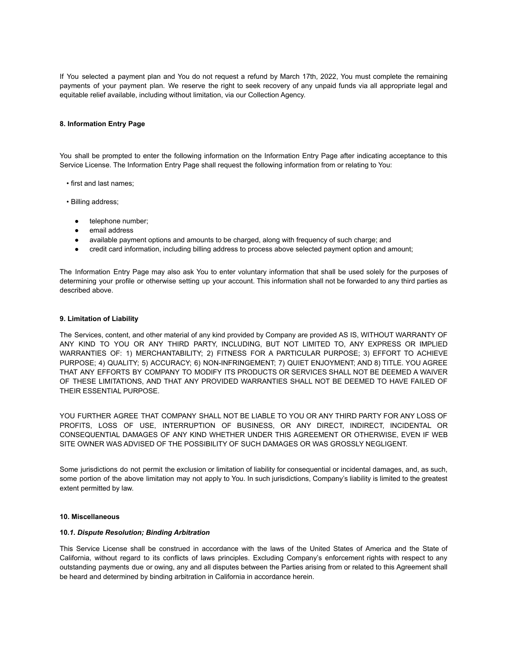If You selected a payment plan and You do not request a refund by March 17th, 2022, You must complete the remaining payments of your payment plan. We reserve the right to seek recovery of any unpaid funds via all appropriate legal and equitable relief available, including without limitation, via our Collection Agency.

## **8. Information Entry Page**

You shall be prompted to enter the following information on the Information Entry Page after indicating acceptance to this Service License. The Information Entry Page shall request the following information from or relating to You:

- first and last names;
- Billing address;
	- telephone number;
	- email address
	- available payment options and amounts to be charged, along with frequency of such charge; and
	- credit card information, including billing address to process above selected payment option and amount;

The Information Entry Page may also ask You to enter voluntary information that shall be used solely for the purposes of determining your profile or otherwise setting up your account. This information shall not be forwarded to any third parties as described above.

#### **9. Limitation of Liability**

The Services, content, and other material of any kind provided by Company are provided AS IS, WITHOUT WARRANTY OF ANY KIND TO YOU OR ANY THIRD PARTY, INCLUDING, BUT NOT LIMITED TO, ANY EXPRESS OR IMPLIED WARRANTIES OF: 1) MERCHANTABILITY; 2) FITNESS FOR A PARTICULAR PURPOSE; 3) EFFORT TO ACHIEVE PURPOSE; 4) QUALITY; 5) ACCURACY; 6) NON-INFRINGEMENT; 7) QUIET ENJOYMENT; AND 8) TITLE. YOU AGREE THAT ANY EFFORTS BY COMPANY TO MODIFY ITS PRODUCTS OR SERVICES SHALL NOT BE DEEMED A WAIVER OF THESE LIMITATIONS, AND THAT ANY PROVIDED WARRANTIES SHALL NOT BE DEEMED TO HAVE FAILED OF THEIR ESSENTIAL PURPOSE.

YOU FURTHER AGREE THAT COMPANY SHALL NOT BE LIABLE TO YOU OR ANY THIRD PARTY FOR ANY LOSS OF PROFITS, LOSS OF USE, INTERRUPTION OF BUSINESS, OR ANY DIRECT, INDIRECT, INCIDENTAL OR CONSEQUENTIAL DAMAGES OF ANY KIND WHETHER UNDER THIS AGREEMENT OR OTHERWISE, EVEN IF WEB SITE OWNER WAS ADVISED OF THE POSSIBILITY OF SUCH DAMAGES OR WAS GROSSLY NEGLIGENT.

Some jurisdictions do not permit the exclusion or limitation of liability for consequential or incidental damages, and, as such, some portion of the above limitation may not apply to You. In such jurisdictions, Company's liability is limited to the greatest extent permitted by law.

#### **10. Miscellaneous**

#### **10***.1***.** *Dispute Resolution; Binding Arbitration*

This Service License shall be construed in accordance with the laws of the United States of America and the State of California, without regard to its conflicts of laws principles. Excluding Company's enforcement rights with respect to any outstanding payments due or owing, any and all disputes between the Parties arising from or related to this Agreement shall be heard and determined by binding arbitration in California in accordance herein.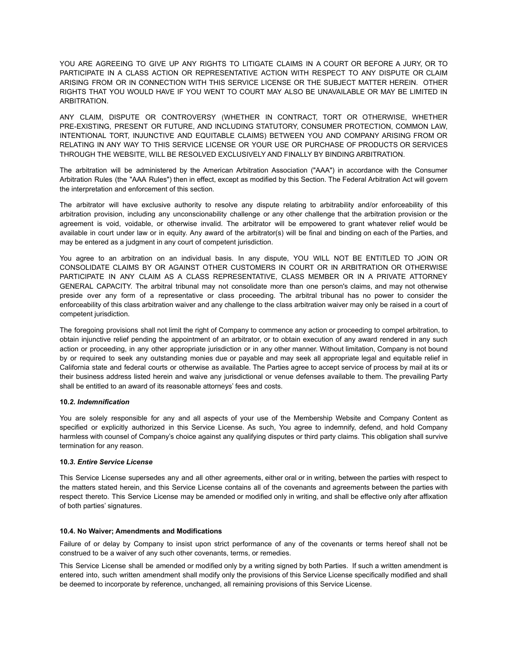YOU ARE AGREEING TO GIVE UP ANY RIGHTS TO LITIGATE CLAIMS IN A COURT OR BEFORE A JURY, OR TO PARTICIPATE IN A CLASS ACTION OR REPRESENTATIVE ACTION WITH RESPECT TO ANY DISPUTE OR CLAIM ARISING FROM OR IN CONNECTION WITH THIS SERVICE LICENSE OR THE SUBJECT MATTER HEREIN. OTHER RIGHTS THAT YOU WOULD HAVE IF YOU WENT TO COURT MAY ALSO BE UNAVAILABLE OR MAY BE LIMITED IN ARBITRATION.

ANY CLAIM, DISPUTE OR CONTROVERSY (WHETHER IN CONTRACT, TORT OR OTHERWISE, WHETHER PRE-EXISTING, PRESENT OR FUTURE, AND INCLUDING STATUTORY, CONSUMER PROTECTION, COMMON LAW, INTENTIONAL TORT, INJUNCTIVE AND EQUITABLE CLAIMS) BETWEEN YOU AND COMPANY ARISING FROM OR RELATING IN ANY WAY TO THIS SERVICE LICENSE OR YOUR USE OR PURCHASE OF PRODUCTS OR SERVICES THROUGH THE WEBSITE, WILL BE RESOLVED EXCLUSIVELY AND FINALLY BY BINDING ARBITRATION.

The arbitration will be administered by the American Arbitration Association ("AAA") in accordance with the Consumer Arbitration Rules (the "AAA Rules") then in effect, except as modified by this Section. The Federal Arbitration Act will govern the interpretation and enforcement of this section.

The arbitrator will have exclusive authority to resolve any dispute relating to arbitrability and/or enforceability of this arbitration provision, including any unconscionability challenge or any other challenge that the arbitration provision or the agreement is void, voidable, or otherwise invalid. The arbitrator will be empowered to grant whatever relief would be available in court under law or in equity. Any award of the arbitrator(s) will be final and binding on each of the Parties, and may be entered as a judgment in any court of competent jurisdiction.

You agree to an arbitration on an individual basis. In any dispute, YOU WILL NOT BE ENTITLED TO JOIN OR CONSOLIDATE CLAIMS BY OR AGAINST OTHER CUSTOMERS IN COURT OR IN ARBITRATION OR OTHERWISE PARTICIPATE IN ANY CLAIM AS A CLASS REPRESENTATIVE, CLASS MEMBER OR IN A PRIVATE ATTORNEY GENERAL CAPACITY. The arbitral tribunal may not consolidate more than one person's claims, and may not otherwise preside over any form of a representative or class proceeding. The arbitral tribunal has no power to consider the enforceability of this class arbitration waiver and any challenge to the class arbitration waiver may only be raised in a court of competent jurisdiction.

The foregoing provisions shall not limit the right of Company to commence any action or proceeding to compel arbitration, to obtain injunctive relief pending the appointment of an arbitrator, or to obtain execution of any award rendered in any such action or proceeding, in any other appropriate jurisdiction or in any other manner. Without limitation, Company is not bound by or required to seek any outstanding monies due or payable and may seek all appropriate legal and equitable relief in California state and federal courts or otherwise as available. The Parties agree to accept service of process by mail at its or their business address listed herein and waive any jurisdictional or venue defenses available to them. The prevailing Party shall be entitled to an award of its reasonable attorneys' fees and costs.

# **10***.2***.** *Indemnification*

You are solely responsible for any and all aspects of your use of the Membership Website and Company Content as specified or explicitly authorized in this Service License. As such, You agree to indemnify, defend, and hold Company harmless with counsel of Company's choice against any qualifying disputes or third party claims. This obligation shall survive termination for any reason.

## **10***.3***.** *Entire Service License*

This Service License supersedes any and all other agreements, either oral or in writing, between the parties with respect to the matters stated herein, and this Service License contains all of the covenants and agreements between the parties with respect thereto. This Service License may be amended or modified only in writing, and shall be effective only after affixation of both parties' signatures.

## **10.4. No Waiver; Amendments and Modifications**

Failure of or delay by Company to insist upon strict performance of any of the covenants or terms hereof shall not be construed to be a waiver of any such other covenants, terms, or remedies.

This Service License shall be amended or modified only by a writing signed by both Parties. If such a written amendment is entered into, such written amendment shall modify only the provisions of this Service License specifically modified and shall be deemed to incorporate by reference, unchanged, all remaining provisions of this Service License.